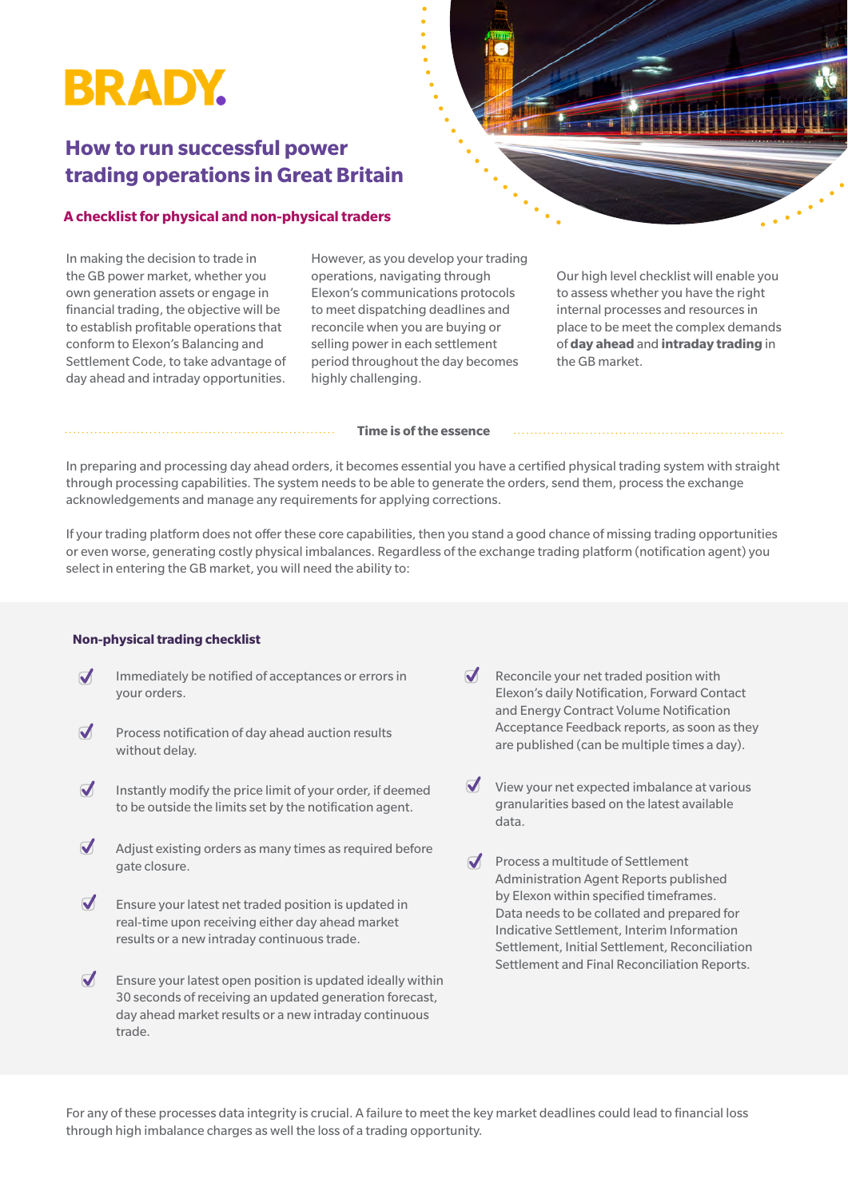## **BRADY.**

### **How to run successful power trading operations in Great Britain**

#### **A checklist for physical and non-physical traders**

In making the decision to trade in the GB power market, whether you own generation assets or engage in financial trading, the objective will be to establish profitable operations that conform to Elexon's Balancing and Settlement Code, to take advantage of day ahead and intraday opportunities.

However, as you develop your trading operations, navigating through Elexon's communications protocols to meet dispatching deadlines and reconcile when you are buying or selling power in each settlement period throughout the day becomes highly challenging.

Our high level checklist will enable you to assess whether you have the right internal processes and resources in place to be meet the complex demands of **day ahead** and **intraday trading** in the GB market.

#### **Time is of the essence**

In preparing and processing day ahead orders, it becomes essential you have a certified physical trading system with straight through processing capabilities. The system needs to be able to generate the orders, send them, process the exchange acknowledgements and manage any requirements for applying corrections.

If your trading platform does not offer these core capabilities, then you stand a good chance of missing trading opportunities or even worse, generating costly physical imbalances. Regardless of the exchange trading platform (notification agent) you select in entering the GB market, you will need the ability to:

#### **Non-physical trading checklist**

- Immediately be notified of acceptances or errors in  $\boldsymbol{J}$ your orders.
- $\overline{\mathcal{U}}$ Process notification of day ahead auction results without delay.
- $\overline{\mathcal{A}}$ Instantly modify the price limit of your order, if deemed to be outside the limits set by the notification agent.
- $\overline{\mathcal{A}}$ Adjust existing orders as many times as required before gate closure.
- $\blacktriangledown$ Ensure your latest net traded position is updated in real-time upon receiving either day ahead market results or a new intraday continuous trade.
- $\overline{\mathcal{A}}$ Ensure your latest open position is updated ideally within 30 seconds of receiving an updated generation forecast, day ahead market results or a new intraday continuous trade.
- $\blacksquare$  Reconcile your net traded position with Elexon's daily Notification, Forward Contact and Energy Contract Volume Notification Acceptance Feedback reports, as soon as they are published (can be multiple times a day).
- $\blacktriangledown$ View your net expected imbalance at various granularities based on the latest available data.
- $\overline{\mathcal{A}}$ Process a multitude of Settlement Administration Agent Reports published by Elexon within specified timeframes. Data needs to be collated and prepared for Indicative Settlement, Interim Information Settlement, Initial Settlement, Reconciliation Settlement and Final Reconciliation Reports.

For any of these processes data integrity is crucial. A failure to meet the key market deadlines could lead to financial loss through high imbalance charges as well the loss of a trading opportunity.